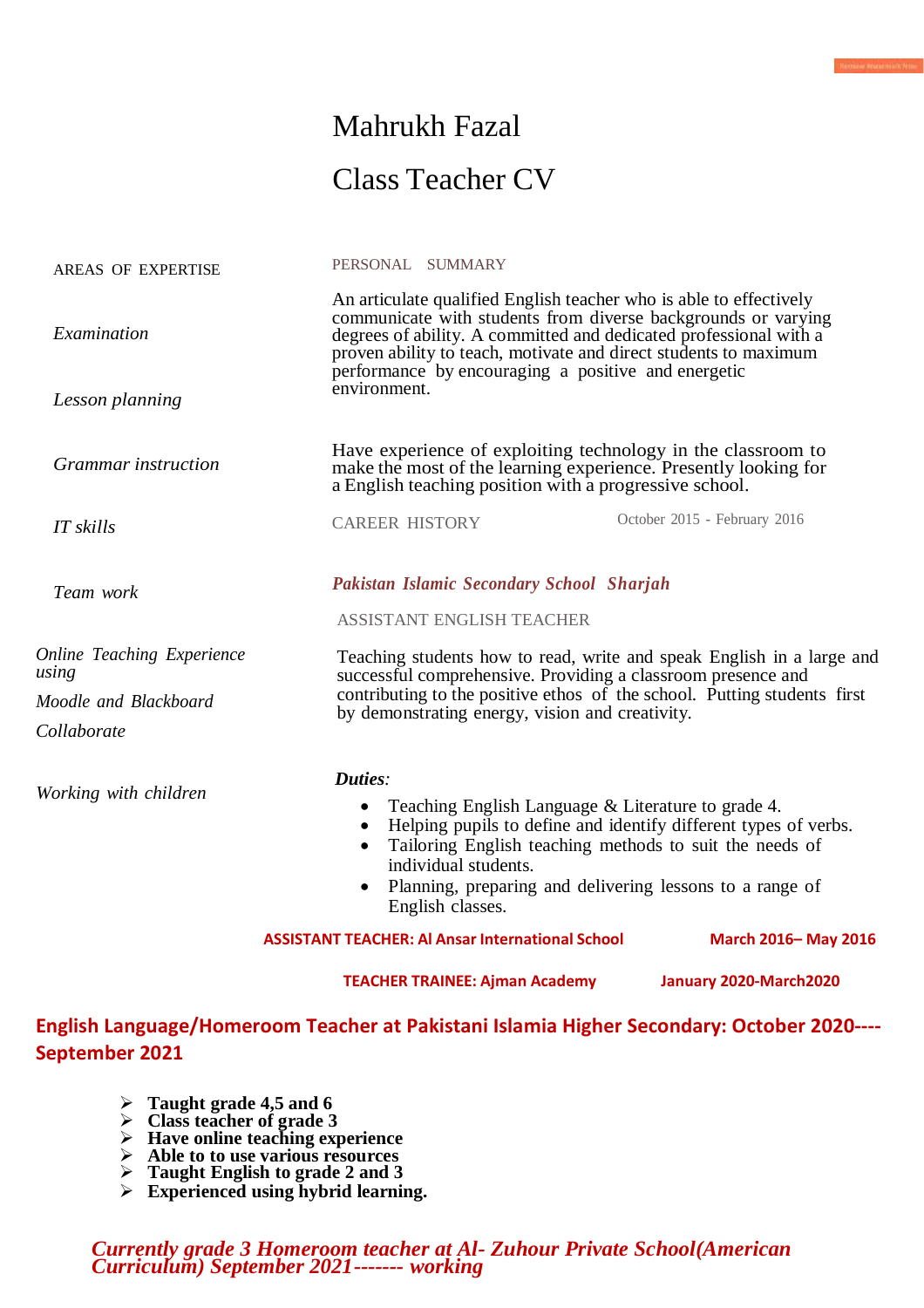# Mahrukh Fazal Class Teacher CV

.<br>Pada Katarmati Nim

PERSONAL SUMMARY

| <b>September 2021</b>                | English Language/Homeroom Teacher at Pakistani Islamia Higher Secondary: October 2020----                                                                                                                                                                                                                                           |                                                                                                                                                                                                                                              |  |
|--------------------------------------|-------------------------------------------------------------------------------------------------------------------------------------------------------------------------------------------------------------------------------------------------------------------------------------------------------------------------------------|----------------------------------------------------------------------------------------------------------------------------------------------------------------------------------------------------------------------------------------------|--|
|                                      | <b>TEACHER TRAINEE: Ajman Academy</b>                                                                                                                                                                                                                                                                                               | January 2020-March2020                                                                                                                                                                                                                       |  |
|                                      | <b>ASSISTANT TEACHER: Al Ansar International School</b>                                                                                                                                                                                                                                                                             | March 2016-May 2016                                                                                                                                                                                                                          |  |
| Working with children                | Duties:<br>individual students.<br>English classes.                                                                                                                                                                                                                                                                                 | Teaching English Language & Literature to grade 4.<br>Helping pupils to define and identify different types of verbs.<br>Tailoring English teaching methods to suit the needs of<br>Planning, preparing and delivering lessons to a range of |  |
|                                      |                                                                                                                                                                                                                                                                                                                                     |                                                                                                                                                                                                                                              |  |
| Moodle and Blackboard<br>Collaborate | Teaching students how to read, write and speak English in a large and<br>successful comprehensive. Providing a classroom presence and<br>contributing to the positive ethos of the school. Putting students first<br>by demonstrating energy, vision and creativity.                                                                |                                                                                                                                                                                                                                              |  |
| using                                |                                                                                                                                                                                                                                                                                                                                     |                                                                                                                                                                                                                                              |  |
| <b>Online Teaching Experience</b>    | ASSISTANT ENGLISH TEACHER                                                                                                                                                                                                                                                                                                           |                                                                                                                                                                                                                                              |  |
| Team work                            |                                                                                                                                                                                                                                                                                                                                     | <b>Pakistan Islamic Secondary School Sharjah</b>                                                                                                                                                                                             |  |
| IT skills                            | <b>CAREER HISTORY</b>                                                                                                                                                                                                                                                                                                               | October 2015 - February 2016                                                                                                                                                                                                                 |  |
| <b>Grammar</b> instruction           |                                                                                                                                                                                                                                                                                                                                     | Have experience of exploiting technology in the classroom to<br>make the most of the learning experience. Presently looking for<br>a English teaching position with a progressive school.                                                    |  |
| Lesson planning                      | environment.                                                                                                                                                                                                                                                                                                                        |                                                                                                                                                                                                                                              |  |
| Examination                          | An articulate qualified English teacher who is able to effectively<br>communicate with students from diverse backgrounds or varying<br>degrees of ability. A committed and dedicated professional with a<br>proven ability to teach, motivate and direct students to maximum<br>performance by encouraging a positive and energetic |                                                                                                                                                                                                                                              |  |
| <b>AREAS OF EXPERTISE</b>            | PERSONAL SUMMARY                                                                                                                                                                                                                                                                                                                    |                                                                                                                                                                                                                                              |  |

- **Taught grade 4,5 and 6**
- **Class teacher of grade 3**
- **Have online teaching experience**
- **Able to to use various resources**
- **Taught English to grade 2 and 3**
- **Experienced using hybrid learning.**

*Currently grade 3 Homeroom teacher at Al- Zuhour Private School(American Curriculum) September 2021------- working*